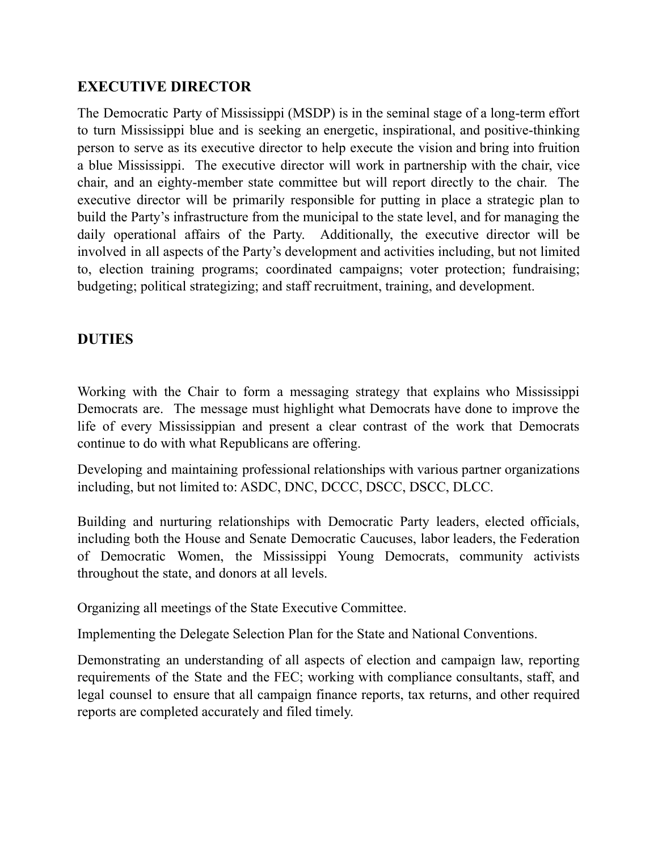## **EXECUTIVE DIRECTOR**

The Democratic Party of Mississippi (MSDP) is in the seminal stage of a long-term effort to turn Mississippi blue and is seeking an energetic, inspirational, and positive-thinking person to serve as its executive director to help execute the vision and bring into fruition a blue Mississippi. The executive director will work in partnership with the chair, vice chair, and an eighty-member state committee but will report directly to the chair. The executive director will be primarily responsible for putting in place a strategic plan to build the Party's infrastructure from the municipal to the state level, and for managing the daily operational affairs of the Party. Additionally, the executive director will be involved in all aspects of the Party's development and activities including, but not limited to, election training programs; coordinated campaigns; voter protection; fundraising; budgeting; political strategizing; and staff recruitment, training, and development.

## **DUTIES**

Working with the Chair to form a messaging strategy that explains who Mississippi Democrats are. The message must highlight what Democrats have done to improve the life of every Mississippian and present a clear contrast of the work that Democrats continue to do with what Republicans are offering.

Developing and maintaining professional relationships with various partner organizations including, but not limited to: ASDC, DNC, DCCC, DSCC, DSCC, DLCC.

Building and nurturing relationships with Democratic Party leaders, elected officials, including both the House and Senate Democratic Caucuses, labor leaders, the Federation of Democratic Women, the Mississippi Young Democrats, community activists throughout the state, and donors at all levels.

Organizing all meetings of the State Executive Committee.

Implementing the Delegate Selection Plan for the State and National Conventions.

Demonstrating an understanding of all aspects of election and campaign law, reporting requirements of the State and the FEC; working with compliance consultants, staff, and legal counsel to ensure that all campaign finance reports, tax returns, and other required reports are completed accurately and filed timely.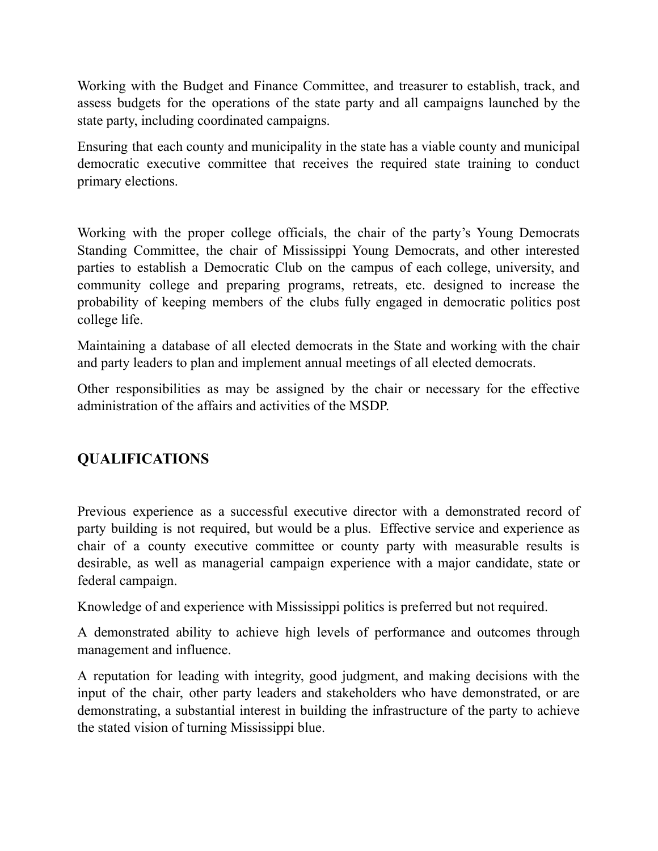Working with the Budget and Finance Committee, and treasurer to establish, track, and assess budgets for the operations of the state party and all campaigns launched by the state party, including coordinated campaigns.

Ensuring that each county and municipality in the state has a viable county and municipal democratic executive committee that receives the required state training to conduct primary elections.

Working with the proper college officials, the chair of the party's Young Democrats Standing Committee, the chair of Mississippi Young Democrats, and other interested parties to establish a Democratic Club on the campus of each college, university, and community college and preparing programs, retreats, etc. designed to increase the probability of keeping members of the clubs fully engaged in democratic politics post college life.

Maintaining a database of all elected democrats in the State and working with the chair and party leaders to plan and implement annual meetings of all elected democrats.

Other responsibilities as may be assigned by the chair or necessary for the effective administration of the affairs and activities of the MSDP.

# **QUALIFICATIONS**

Previous experience as a successful executive director with a demonstrated record of party building is not required, but would be a plus. Effective service and experience as chair of a county executive committee or county party with measurable results is desirable, as well as managerial campaign experience with a major candidate, state or federal campaign.

Knowledge of and experience with Mississippi politics is preferred but not required.

A demonstrated ability to achieve high levels of performance and outcomes through management and influence.

A reputation for leading with integrity, good judgment, and making decisions with the input of the chair, other party leaders and stakeholders who have demonstrated, or are demonstrating, a substantial interest in building the infrastructure of the party to achieve the stated vision of turning Mississippi blue.